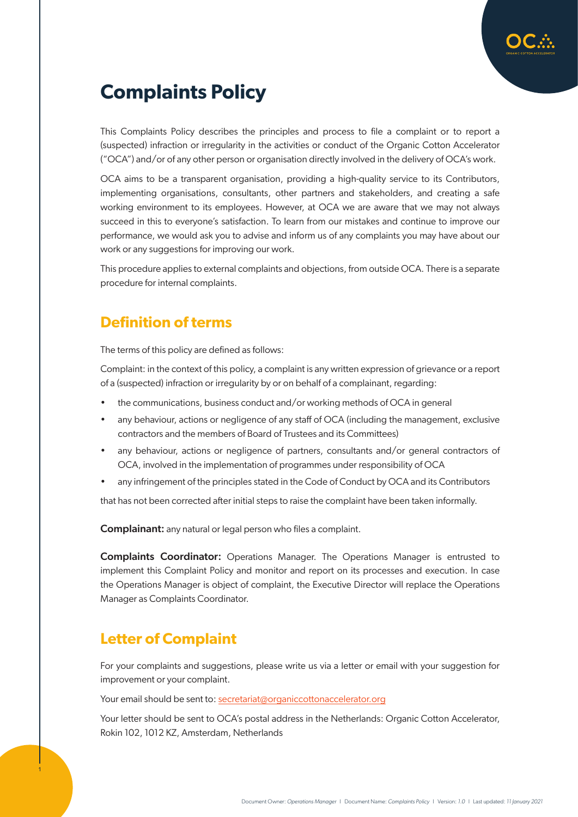

# **Complaints Policy**

This Complaints Policy describes the principles and process to file a complaint or to report a (suspected) infraction or irregularity in the activities or conduct of the Organic Cotton Accelerator ("OCA") and/or of any other person or organisation directly involved in the delivery of OCA's work.

OCA aims to be a transparent organisation, providing a high-quality service to its Contributors, implementing organisations, consultants, other partners and stakeholders, and creating a safe working environment to its employees. However, at OCA we are aware that we may not always succeed in this to everyone's satisfaction. To learn from our mistakes and continue to improve our performance, we would ask you to advise and inform us of any complaints you may have about our work or any suggestions for improving our work.

This procedure applies to external complaints and objections, from outside OCA. There is a separate procedure for internal complaints.

## **Definition of terms**

The terms of this policy are defined as follows:

Complaint: in the context of this policy, a complaint is any written expression of grievance or a report of a (suspected) infraction or irregularity by or on behalf of a complainant, regarding:

- the communications, business conduct and/or working methods of OCA in general
- any behaviour, actions or negligence of any staff of OCA (including the management, exclusive contractors and the members of Board of Trustees and its Committees)
- any behaviour, actions or negligence of partners, consultants and/or general contractors of OCA, involved in the implementation of programmes under responsibility of OCA
- any infringement of the principles stated in the Code of Conduct by OCA and its Contributors

that has not been corrected after initial steps to raise the complaint have been taken informally.

Complainant: any natural or legal person who files a complaint.

Complaints Coordinator: Operations Manager. The Operations Manager is entrusted to implement this Complaint Policy and monitor and report on its processes and execution. In case the Operations Manager is object of complaint, the Executive Director will replace the Operations Manager as Complaints Coordinator.

#### **Letter of Complaint**

1

For your complaints and suggestions, please write us via a letter or email with your suggestion for improvement or your complaint.

Your email should be sent to: [secretariat@organiccottonaccelerator.org](mailto:secretariat%40organiccottonaccelerator.org?subject=)

Your letter should be sent to OCA's postal address in the Netherlands: Organic Cotton Accelerator, Rokin 102, 1012 KZ, Amsterdam, Netherlands